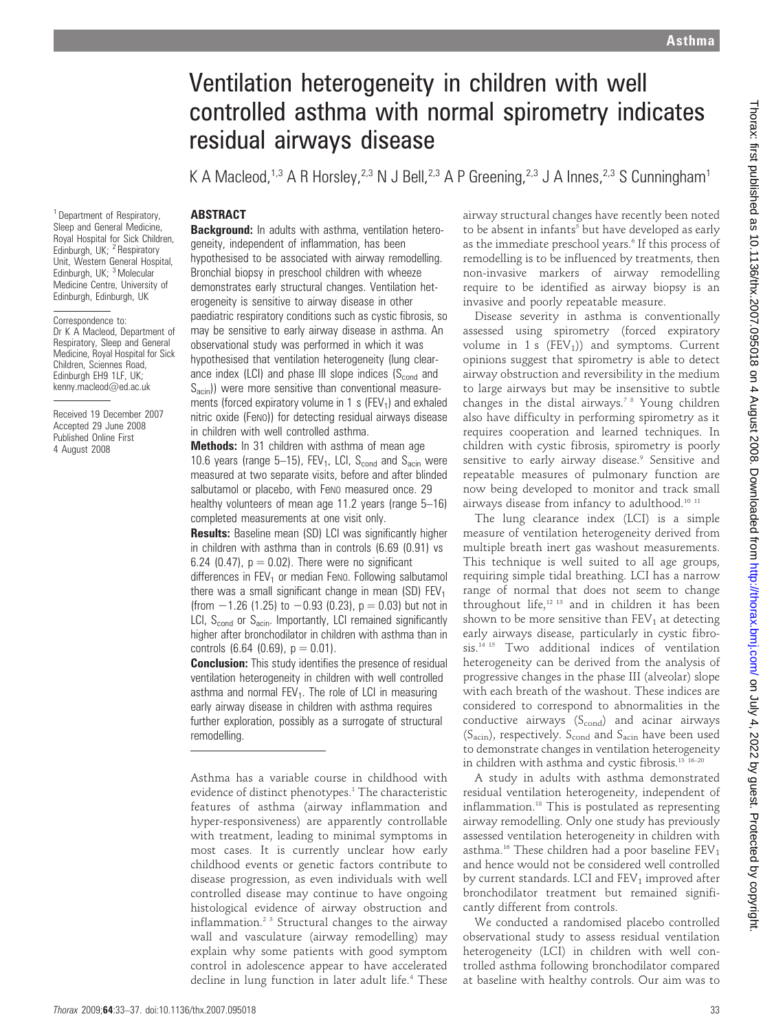# Ventilation heterogeneity in children with well controlled asthma with normal spirometry indicates residual airways disease

K A Macleod,<sup>1,3</sup> A R Horsley,<sup>2,3</sup> N J Bell,<sup>2,3</sup> A P Greening,<sup>2,3</sup> J A Innes,<sup>2,3</sup> S Cunningham<sup>1</sup>

# **ABSTRACT**

<sup>1</sup> Department of Respiratory, Sleep and General Medicine, Royal Hospital for Sick Children, Edinburgh, UK;  $2$  Respiratory Unit, Western General Hospital, Edinburgh, UK; <sup>3</sup> Molecular Medicine Centre, University of Edinburgh, Edinburgh, UK

Correspondence to: Dr K A Macleod, Department of Respiratory, Sleep and General Medicine, Royal Hospital for Sick Children, Sciennes Road, Edinburgh EH9 1LF, UK; kenny.macleod@ed.ac.uk

Received 19 December 2007 Accepted 29 June 2008 Published Online First 4 August 2008

**Background:** In adults with asthma, ventilation heterogeneity, independent of inflammation, has been hypothesised to be associated with airway remodelling. Bronchial biopsy in preschool children with wheeze demonstrates early structural changes. Ventilation heterogeneity is sensitive to airway disease in other paediatric respiratory conditions such as cystic fibrosis, so may be sensitive to early airway disease in asthma. An observational study was performed in which it was hypothesised that ventilation heterogeneity (lung clearance index (LCI) and phase III slope indices  $(S_{\text{cond}}$  and  $S<sub>acin</sub>$ )) were more sensitive than conventional measurements (forced expiratory volume in 1 s ( $FEV<sub>1</sub>$ ) and exhaled nitric oxide (FeNO)) for detecting residual airways disease in children with well controlled asthma.

Methods: In 31 children with asthma of mean age 10.6 years (range 5–15), FEV<sub>1</sub>, LCI,  $S_{\text{cond}}$  and  $S_{\text{acin}}$  were measured at two separate visits, before and after blinded salbutamol or placebo, with FeNO measured once. 29 healthy volunteers of mean age 11.2 years (range 5–16) completed measurements at one visit only.

Results: Baseline mean (SD) LCI was significantly higher in children with asthma than in controls (6.69 (0.91) vs 6.24 (0.47),  $p = 0.02$ ). There were no significant differences in  $FEV<sub>1</sub>$  or median Feno. Following salbutamol there was a small significant change in mean (SD)  $FEV<sub>1</sub>$ (from  $-1.26$  (1.25) to  $-0.93$  (0.23), p  $= 0.03$ ) but not in LCI,  $S_{cond}$  or  $S_{acin}$ . Importantly, LCI remained significantly higher after bronchodilator in children with asthma than in controls  $(6.64 (0.69), p = 0.01)$ .

**Conclusion:** This study identifies the presence of residual ventilation heterogeneity in children with well controlled asthma and normal  $FEV<sub>1</sub>$ . The role of LCI in measuring early airway disease in children with asthma requires further exploration, possibly as a surrogate of structural remodelling.

Asthma has a variable course in childhood with evidence of distinct phenotypes.<sup>1</sup> The characteristic features of asthma (airway inflammation and hyper-responsiveness) are apparently controllable with treatment, leading to minimal symptoms in most cases. It is currently unclear how early childhood events or genetic factors contribute to disease progression, as even individuals with well controlled disease may continue to have ongoing histological evidence of airway obstruction and inflammation.<sup>23</sup> Structural changes to the airway wall and vasculature (airway remodelling) may explain why some patients with good symptom control in adolescence appear to have accelerated decline in lung function in later adult life.<sup>4</sup> These airway structural changes have recently been noted to be absent in infants<sup>5</sup> but have developed as early as the immediate preschool years.<sup>6</sup> If this process of remodelling is to be influenced by treatments, then non-invasive markers of airway remodelling require to be identified as airway biopsy is an invasive and poorly repeatable measure.

Disease severity in asthma is conventionally assessed using spirometry (forced expiratory volume in 1 s  $(FEV_1)$  and symptoms. Current opinions suggest that spirometry is able to detect airway obstruction and reversibility in the medium to large airways but may be insensitive to subtle changes in the distal airways.7 8 Young children also have difficulty in performing spirometry as it requires cooperation and learned techniques. In children with cystic fibrosis, spirometry is poorly sensitive to early airway disease.<sup>9</sup> Sensitive and repeatable measures of pulmonary function are now being developed to monitor and track small airways disease from infancy to adulthood.10 11

The lung clearance index (LCI) is a simple measure of ventilation heterogeneity derived from multiple breath inert gas washout measurements. This technique is well suited to all age groups, requiring simple tidal breathing. LCI has a narrow range of normal that does not seem to change throughout life, $12$  13 and in children it has been shown to be more sensitive than  $FEV<sub>1</sub>$  at detecting early airways disease, particularly in cystic fibrosis.<sup>14 15</sup> Two additional indices of ventilation heterogeneity can be derived from the analysis of progressive changes in the phase III (alveolar) slope with each breath of the washout. These indices are considered to correspond to abnormalities in the conductive airways  $(S_{\text{cond}})$  and acinar airways  $(S_{\text{acin}})$ , respectively.  $S_{\text{cond}}$  and  $S_{\text{acin}}$  have been used to demonstrate changes in ventilation heterogeneity in children with asthma and cystic fibrosis.<sup>13 16-20</sup>

A study in adults with asthma demonstrated residual ventilation heterogeneity, independent of inflammation.18 This is postulated as representing airway remodelling. Only one study has previously assessed ventilation heterogeneity in children with asthma.<sup>16</sup> These children had a poor baseline  $FEV<sub>1</sub>$ and hence would not be considered well controlled by current standards. LCI and  $FEV<sub>1</sub>$  improved after bronchodilator treatment but remained significantly different from controls.

We conducted a randomised placebo controlled observational study to assess residual ventilation heterogeneity (LCI) in children with well controlled asthma following bronchodilator compared at baseline with healthy controls. Our aim was to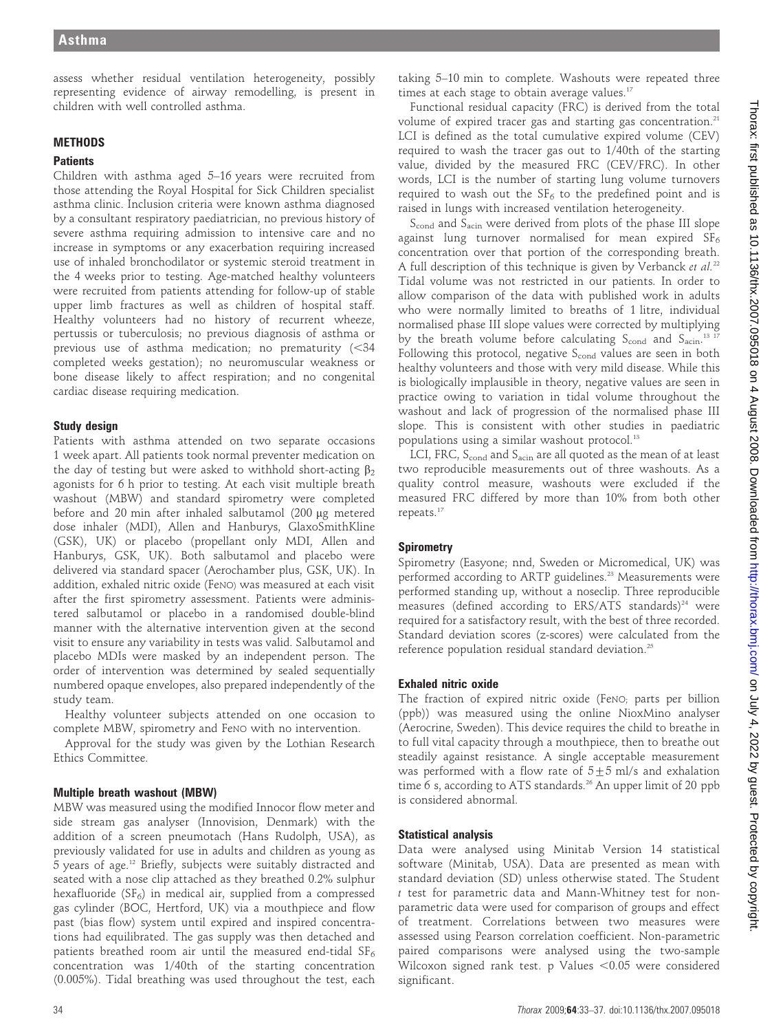assess whether residual ventilation heterogeneity, possibly representing evidence of airway remodelling, is present in children with well controlled asthma.

# **METHODS**

#### **Patients**

Children with asthma aged 5–16 years were recruited from those attending the Royal Hospital for Sick Children specialist asthma clinic. Inclusion criteria were known asthma diagnosed by a consultant respiratory paediatrician, no previous history of severe asthma requiring admission to intensive care and no increase in symptoms or any exacerbation requiring increased use of inhaled bronchodilator or systemic steroid treatment in the 4 weeks prior to testing. Age-matched healthy volunteers were recruited from patients attending for follow-up of stable upper limb fractures as well as children of hospital staff. Healthy volunteers had no history of recurrent wheeze, pertussis or tuberculosis; no previous diagnosis of asthma or previous use of asthma medication; no prematurity  $(<$ 34 completed weeks gestation); no neuromuscular weakness or bone disease likely to affect respiration; and no congenital cardiac disease requiring medication.

### Study design

Patients with asthma attended on two separate occasions 1 week apart. All patients took normal preventer medication on the day of testing but were asked to withhold short-acting  $\beta_2$ agonists for 6 h prior to testing. At each visit multiple breath washout (MBW) and standard spirometry were completed before and 20 min after inhaled salbutamol (200 µg metered dose inhaler (MDI), Allen and Hanburys, GlaxoSmithKline (GSK), UK) or placebo (propellant only MDI, Allen and Hanburys, GSK, UK). Both salbutamol and placebo were delivered via standard spacer (Aerochamber plus, GSK, UK). In addition, exhaled nitric oxide (FeNO) was measured at each visit after the first spirometry assessment. Patients were administered salbutamol or placebo in a randomised double-blind manner with the alternative intervention given at the second visit to ensure any variability in tests was valid. Salbutamol and placebo MDIs were masked by an independent person. The order of intervention was determined by sealed sequentially numbered opaque envelopes, also prepared independently of the study team.

Healthy volunteer subjects attended on one occasion to complete MBW, spirometry and FeNO with no intervention.

Approval for the study was given by the Lothian Research Ethics Committee.

## Multiple breath washout (MBW)

MBW was measured using the modified Innocor flow meter and side stream gas analyser (Innovision, Denmark) with the addition of a screen pneumotach (Hans Rudolph, USA), as previously validated for use in adults and children as young as 5 years of age.12 Briefly, subjects were suitably distracted and seated with a nose clip attached as they breathed 0.2% sulphur hexafluoride ( $SF<sub>6</sub>$ ) in medical air, supplied from a compressed gas cylinder (BOC, Hertford, UK) via a mouthpiece and flow past (bias flow) system until expired and inspired concentrations had equilibrated. The gas supply was then detached and patients breathed room air until the measured end-tidal  $SF_6$ concentration was 1/40th of the starting concentration (0.005%). Tidal breathing was used throughout the test, each

taking 5–10 min to complete. Washouts were repeated three times at each stage to obtain average values.<sup>17</sup>

Functional residual capacity (FRC) is derived from the total volume of expired tracer gas and starting gas concentration.<sup>21</sup> LCI is defined as the total cumulative expired volume (CEV) required to wash the tracer gas out to 1/40th of the starting value, divided by the measured FRC (CEV/FRC). In other words, LCI is the number of starting lung volume turnovers required to wash out the  $SF<sub>6</sub>$  to the predefined point and is raised in lungs with increased ventilation heterogeneity.

 $S_{\text{cond}}$  and  $S_{\text{acin}}$  were derived from plots of the phase III slope against lung turnover normalised for mean expired  $SF_6$ concentration over that portion of the corresponding breath. A full description of this technique is given by Verbanck et  $al^{22}$ Tidal volume was not restricted in our patients. In order to allow comparison of the data with published work in adults who were normally limited to breaths of 1 litre, individual normalised phase III slope values were corrected by multiplying by the breath volume before calculating  $S_{\text{cond}}$  and  $S_{\text{acin}}$ .<sup>13</sup> <sup>17</sup> Following this protocol, negative  $S_{\text{cond}}$  values are seen in both healthy volunteers and those with very mild disease. While this is biologically implausible in theory, negative values are seen in practice owing to variation in tidal volume throughout the washout and lack of progression of the normalised phase III slope. This is consistent with other studies in paediatric populations using a similar washout protocol.<sup>13</sup>

LCI, FRC, S<sub>cond</sub> and S<sub>acin</sub> are all quoted as the mean of at least two reproducible measurements out of three washouts. As a quality control measure, washouts were excluded if the measured FRC differed by more than 10% from both other repeats.17

## **Spirometry**

Spirometry (Easyone; nnd, Sweden or Micromedical, UK) was performed according to ARTP guidelines.<sup>23</sup> Measurements were performed standing up, without a noseclip. Three reproducible measures (defined according to ERS/ATS standards)<sup>24</sup> were required for a satisfactory result, with the best of three recorded. Standard deviation scores (z-scores) were calculated from the reference population residual standard deviation.<sup>25</sup>

## Exhaled nitric oxide

The fraction of expired nitric oxide (FeNO; parts per billion (ppb)) was measured using the online NioxMino analyser (Aerocrine, Sweden). This device requires the child to breathe in to full vital capacity through a mouthpiece, then to breathe out steadily against resistance. A single acceptable measurement was performed with a flow rate of  $5±5$  ml/s and exhalation time 6 s, according to ATS standards.<sup>26</sup> An upper limit of 20 ppb is considered abnormal.

## Statistical analysis

Data were analysed using Minitab Version 14 statistical software (Minitab, USA). Data are presented as mean with standard deviation (SD) unless otherwise stated. The Student t test for parametric data and Mann-Whitney test for nonparametric data were used for comparison of groups and effect of treatment. Correlations between two measures were assessed using Pearson correlation coefficient. Non-parametric paired comparisons were analysed using the two-sample Wilcoxon signed rank test. p Values  $< 0.05$  were considered significant.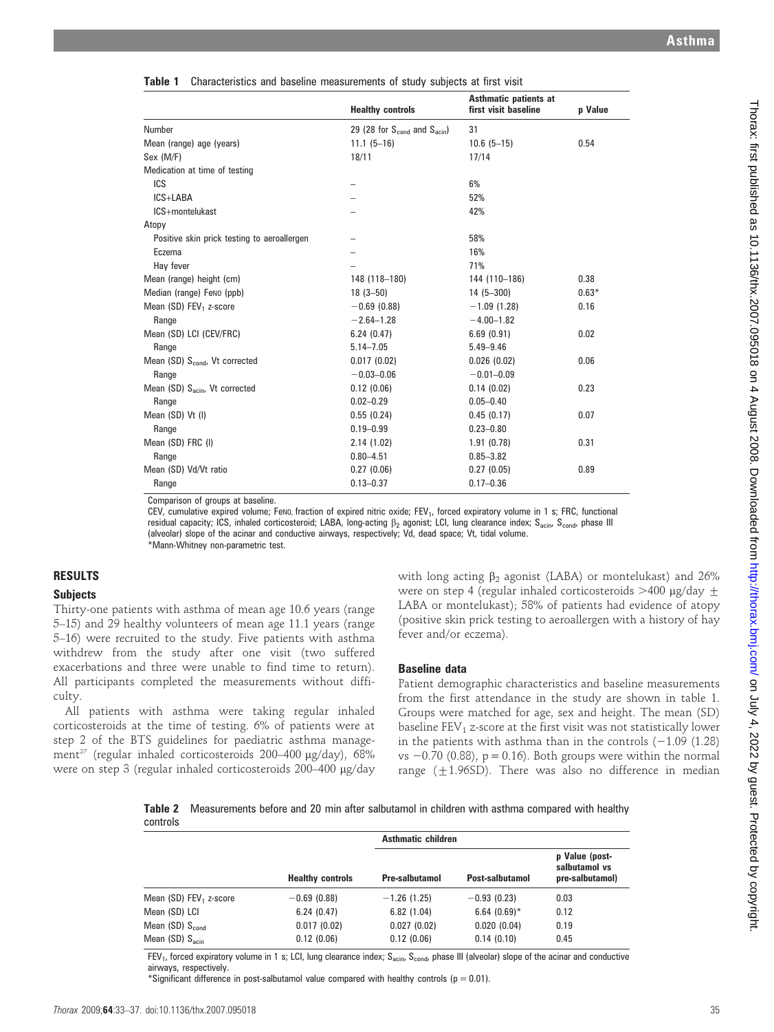|  | Table 1 Characteristics and baseline measurements of study subjects at first visit |  |  |  |  |  |  |  |  |
|--|------------------------------------------------------------------------------------|--|--|--|--|--|--|--|--|
|--|------------------------------------------------------------------------------------|--|--|--|--|--|--|--|--|

|                                             |                                                      | Asthmatic patients at |         |
|---------------------------------------------|------------------------------------------------------|-----------------------|---------|
|                                             | <b>Healthy controls</b>                              | first visit baseline  | p Value |
| Number                                      | 29 (28 for $S_{\text{cond}}$ and $S_{\text{acin}}$ ) | 31                    |         |
| Mean (range) age (years)                    | $11.1 (5 - 16)$                                      | $10.6(5-15)$          | 0.54    |
| Sex (M/F)                                   | 18/11                                                | 17/14                 |         |
| Medication at time of testing               |                                                      |                       |         |
| ICS                                         |                                                      | 6%                    |         |
| ICS+LABA                                    |                                                      | 52%                   |         |
| ICS+montelukast                             |                                                      | 42%                   |         |
| Atopy                                       |                                                      |                       |         |
| Positive skin prick testing to aeroallergen |                                                      | 58%                   |         |
| Eczema                                      |                                                      | 16%                   |         |
| Hay fever                                   |                                                      | 71%                   |         |
| Mean (range) height (cm)                    | 148 (118-180)                                        | 144 (110-186)         | 0.38    |
| Median (range) Feno (ppb)                   | $18(3 - 50)$                                         | $14(5-300)$           | $0.63*$ |
| Mean (SD) FEV <sub>1</sub> z-score          | $-0.69$ (0.88)                                       | $-1.09(1.28)$         | 0.16    |
| Range                                       | $-2.64 - 1.28$                                       | $-4.00 - 1.82$        |         |
| Mean (SD) LCI (CEV/FRC)                     | 6.24(0.47)                                           | 6.69(0.91)            | 0.02    |
| Range                                       | $5.14 - 7.05$                                        | $5.49 - 9.46$         |         |
| Mean (SD) S <sub>cond</sub> , Vt corrected  | 0.017(0.02)                                          | 0.026(0.02)           | 0.06    |
| Range                                       | $-0.03 - 0.06$                                       | $-0.01 - 0.09$        |         |
| Mean (SD) S <sub>acin</sub> , Vt corrected  | 0.12(0.06)                                           | 0.14(0.02)            | 0.23    |
| Range                                       | $0.02 - 0.29$                                        | $0.05 - 0.40$         |         |
| Mean (SD) Vt (I)                            | 0.55(0.24)                                           | 0.45(0.17)            | 0.07    |
| Range                                       | $0.19 - 0.99$                                        | $0.23 - 0.80$         |         |
| Mean (SD) FRC (I)                           | 2.14(1.02)                                           | 1.91(0.78)            | 0.31    |
| Range                                       | $0.80 - 4.51$                                        | $0.85 - 3.82$         |         |
| Mean (SD) Vd/Vt ratio                       | 0.27(0.06)                                           | 0.27(0.05)            | 0.89    |
| Range                                       | $0.13 - 0.37$                                        | $0.17 - 0.36$         |         |
|                                             |                                                      |                       |         |

Comparison of groups at baseline.

CEV, cumulative expired volume; FeNO, fraction of expired nitric oxide; FEV<sub>1</sub>, forced expiratory volume in 1 s; FRC, functional residual capacity; ICS, inhaled corticosteroid; LABA, long-acting  $\beta_2$  agonist; LCI, lung clearance index; S<sub>acin</sub>, S<sub>cond</sub>, phase III (alveolar) slope of the acinar and conductive airways, respectively; Vd, dead space; Vt, tidal volume. \*Mann-Whitney non-parametric test.

# RESULTS

### **Subjects**

Thirty-one patients with asthma of mean age 10.6 years (range 5–15) and 29 healthy volunteers of mean age 11.1 years (range 5–16) were recruited to the study. Five patients with asthma withdrew from the study after one visit (two suffered exacerbations and three were unable to find time to return). All participants completed the measurements without difficulty.

All patients with asthma were taking regular inhaled corticosteroids at the time of testing. 6% of patients were at step 2 of the BTS guidelines for paediatric asthma management<sup>27</sup> (regular inhaled corticosteroids 200-400 µg/day), 68% were on step 3 (regular inhaled corticosteroids 200-400 µg/day with long acting  $\beta_2$  agonist (LABA) or montelukast) and 26% were on step 4 (regular inhaled corticosteroids  $>400 \mu g/day \pm$ LABA or montelukast); 58% of patients had evidence of atopy (positive skin prick testing to aeroallergen with a history of hay fever and/or eczema).

#### Baseline data

Patient demographic characteristics and baseline measurements from the first attendance in the study are shown in table 1. Groups were matched for age, sex and height. The mean (SD) baseline  $FEV<sub>1</sub>$  z-score at the first visit was not statistically lower in the patients with asthma than in the controls  $(-1.09 \t(1.28))$ vs  $-0.70$  (0.88), p = 0.16). Both groups were within the normal range ( $\pm$ 1.96SD). There was also no difference in median

Table 2 Measurements before and 20 min after salbutamol in children with asthma compared with healthy controls

|                                    |                         | <b>Asthmatic children</b> |                 |                                                    |  |  |
|------------------------------------|-------------------------|---------------------------|-----------------|----------------------------------------------------|--|--|
|                                    | <b>Healthy controls</b> | <b>Pre-salbutamol</b>     | Post-salbutamol | p Value (post-<br>salbutamol vs<br>pre-salbutamol) |  |  |
| Mean (SD) FEV <sub>1</sub> z-score | $-0.69(0.88)$           | $-1.26$ (1.25)            | $-0.93(0.23)$   | 0.03                                               |  |  |
| Mean (SD) LCI                      | 6.24(0.47)              | 6.82(1.04)                | $6.64(0.69)$ *  | 0.12                                               |  |  |
| Mean $(SD)$ S <sub>cond</sub>      | 0.017(0.02)             | 0.027(0.02)               | 0.020(0.04)     | 0.19                                               |  |  |
| Mean $(SD)$ $S_{\text{acin}}$      | 0.12(0.06)              | 0.12(0.06)                | 0.14(0.10)      | 0.45                                               |  |  |

 $FEV_1$ , forced expiratory volume in 1 s; LCI, lung clearance index; S<sub>acin</sub>, S<sub>cond</sub>, phase III (alveolar) slope of the acinar and conductive airways, respectively.

\*Significant difference in post-salbutamol value compared with healthy controls ( $p = 0.01$ ).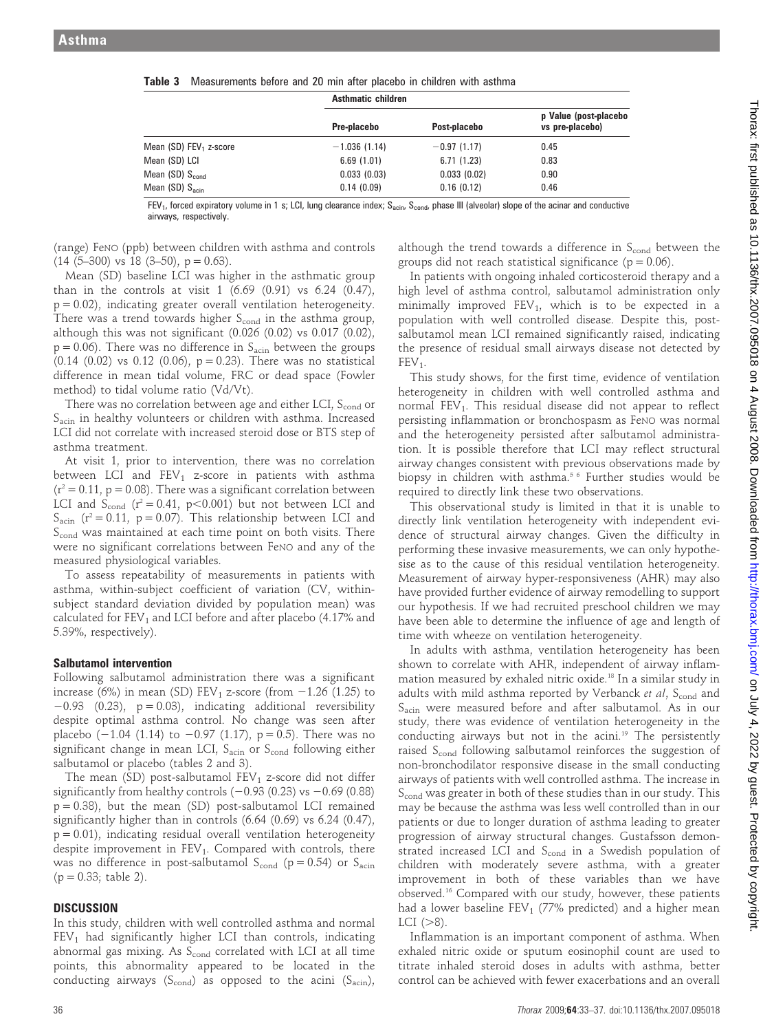|                                    | <b>Asthmatic children</b> |               |                                          |  |
|------------------------------------|---------------------------|---------------|------------------------------------------|--|
|                                    | Pre-placebo               | Post-placebo  | p Value (post-placebo<br>vs pre-placebo) |  |
| Mean (SD) FEV <sub>1</sub> z-score | $-1.036(1.14)$            | $-0.97(1.17)$ | 0.45                                     |  |
| Mean (SD) LCI                      | 6.69(1.01)                | 6.71(1.23)    | 0.83                                     |  |
| Mean (SD) $S_{cond}$               | 0.033(0.03)               | 0.033(0.02)   | 0.90                                     |  |
| Mean $(SD)$ $S_{\text{acin}}$      | 0.14(0.09)                | 0.16(0.12)    | 0.46                                     |  |

 $FEV_1$ , forced expiratory volume in 1 s; LCI, lung clearance index;  $S_{\text{acin}}$ ,  $S_{\text{cond}}$ , phase III (alveolar) slope of the acinar and conductive airways, respectively.

(range) FeNO (ppb) between children with asthma and controls  $(14 (5-300) \text{ vs } 18 (3-50), p = 0.63).$ 

Mean (SD) baseline LCI was higher in the asthmatic group than in the controls at visit  $1$  (6.69 (0.91) vs 6.24 (0.47),  $p = 0.02$ ), indicating greater overall ventilation heterogeneity. There was a trend towards higher  $S_{\text{cond}}$  in the asthma group, although this was not significant  $(0.026 (0.02)$  vs  $0.017 (0.02)$ ,  $p = 0.06$ ). There was no difference in  $S<sub>acin</sub>$  between the groups  $(0.14 \ (0.02)$  vs  $0.12 \ (0.06)$ ,  $p = 0.23$ ). There was no statistical difference in mean tidal volume, FRC or dead space (Fowler method) to tidal volume ratio (Vd/Vt).

There was no correlation between age and either LCI,  $S_{cond}$  or S<sub>acin</sub> in healthy volunteers or children with asthma. Increased LCI did not correlate with increased steroid dose or BTS step of asthma treatment.

At visit 1, prior to intervention, there was no correlation between LCI and  $FEV_1$  z-score in patients with asthma  $(r^2 = 0.11, p = 0.08)$ . There was a significant correlation between LCI and  $S_{\text{cond}}$  ( $r^2 = 0.41$ ,  $p < 0.001$ ) but not between LCI and  $S_{\text{acin}}$  ( $r^2 = 0.11$ ,  $p = 0.07$ ). This relationship between LCI and S<sub>cond</sub> was maintained at each time point on both visits. There were no significant correlations between FeNO and any of the measured physiological variables.

To assess repeatability of measurements in patients with asthma, within-subject coefficient of variation (CV, withinsubject standard deviation divided by population mean) was calculated for  $FEV_1$  and LCI before and after placebo (4.17% and 5.39%, respectively).

#### Salbutamol intervention

Following salbutamol administration there was a significant increase (6%) in mean (SD) FEV<sub>1</sub> z-score (from  $-1.26$  (1.25) to  $-0.93$  (0.23),  $p = 0.03$ ), indicating additional reversibility despite optimal asthma control. No change was seen after placebo  $(-1.04 \ (1.14)$  to  $-0.97 \ (1.17)$ ,  $p = 0.5$ ). There was no significant change in mean LCI,  $S_{\text{acin}}$  or  $S_{\text{cond}}$  following either salbutamol or placebo (tables 2 and 3).

The mean (SD) post-salbutamol  $FEV_1$  z-score did not differ significantly from healthy controls  $(-0.93 (0.23)$  vs  $-0.69 (0.88)$  $p = 0.38$ ), but the mean (SD) post-salbutamol LCI remained significantly higher than in controls (6.64 (0.69) vs 6.24 (0.47),  $p = 0.01$ ), indicating residual overall ventilation heterogeneity despite improvement in  $FEV<sub>1</sub>$ . Compared with controls, there was no difference in post-salbutamol  $S_{\text{cond}}$  (p = 0.54) or  $S_{\text{acin}}$  $(p = 0.33;$  table 2).

#### **DISCUSSION**

In this study, children with well controlled asthma and normal  $FEV<sub>1</sub>$  had significantly higher LCI than controls, indicating abnormal gas mixing. As  $S_{cond}$  correlated with LCI at all time points, this abnormality appeared to be located in the conducting airways ( $S_{cond}$ ) as opposed to the acini ( $S_{acin}$ ),

although the trend towards a difference in  $S_{cond}$  between the groups did not reach statistical significance ( $p = 0.06$ ).

In patients with ongoing inhaled corticosteroid therapy and a high level of asthma control, salbutamol administration only minimally improved  $FEV_1$ , which is to be expected in a population with well controlled disease. Despite this, postsalbutamol mean LCI remained significantly raised, indicating the presence of residual small airways disease not detected by  $FEV<sub>1</sub>$ .

This study shows, for the first time, evidence of ventilation heterogeneity in children with well controlled asthma and normal FEV<sub>1</sub>. This residual disease did not appear to reflect persisting inflammation or bronchospasm as FeNO was normal and the heterogeneity persisted after salbutamol administration. It is possible therefore that LCI may reflect structural airway changes consistent with previous observations made by biopsy in children with asthma.<sup>56</sup> Further studies would be required to directly link these two observations.

This observational study is limited in that it is unable to directly link ventilation heterogeneity with independent evidence of structural airway changes. Given the difficulty in performing these invasive measurements, we can only hypothesise as to the cause of this residual ventilation heterogeneity. Measurement of airway hyper-responsiveness (AHR) may also have provided further evidence of airway remodelling to support our hypothesis. If we had recruited preschool children we may have been able to determine the influence of age and length of time with wheeze on ventilation heterogeneity.

In adults with asthma, ventilation heterogeneity has been shown to correlate with AHR, independent of airway inflammation measured by exhaled nitric oxide.18 In a similar study in adults with mild asthma reported by Verbanck et al,  $S_{cond}$  and Sacin were measured before and after salbutamol. As in our study, there was evidence of ventilation heterogeneity in the conducting airways but not in the acini.<sup>19</sup> The persistently raised S<sub>cond</sub> following salbutamol reinforces the suggestion of non-bronchodilator responsive disease in the small conducting airways of patients with well controlled asthma. The increase in Scond was greater in both of these studies than in our study. This may be because the asthma was less well controlled than in our patients or due to longer duration of asthma leading to greater progression of airway structural changes. Gustafsson demonstrated increased LCI and S<sub>cond</sub> in a Swedish population of children with moderately severe asthma, with a greater improvement in both of these variables than we have observed.16 Compared with our study, however, these patients had a lower baseline  $FEV_1$  (77% predicted) and a higher mean LCI  $(>\!8)$ .

Inflammation is an important component of asthma. When exhaled nitric oxide or sputum eosinophil count are used to titrate inhaled steroid doses in adults with asthma, better control can be achieved with fewer exacerbations and an overall